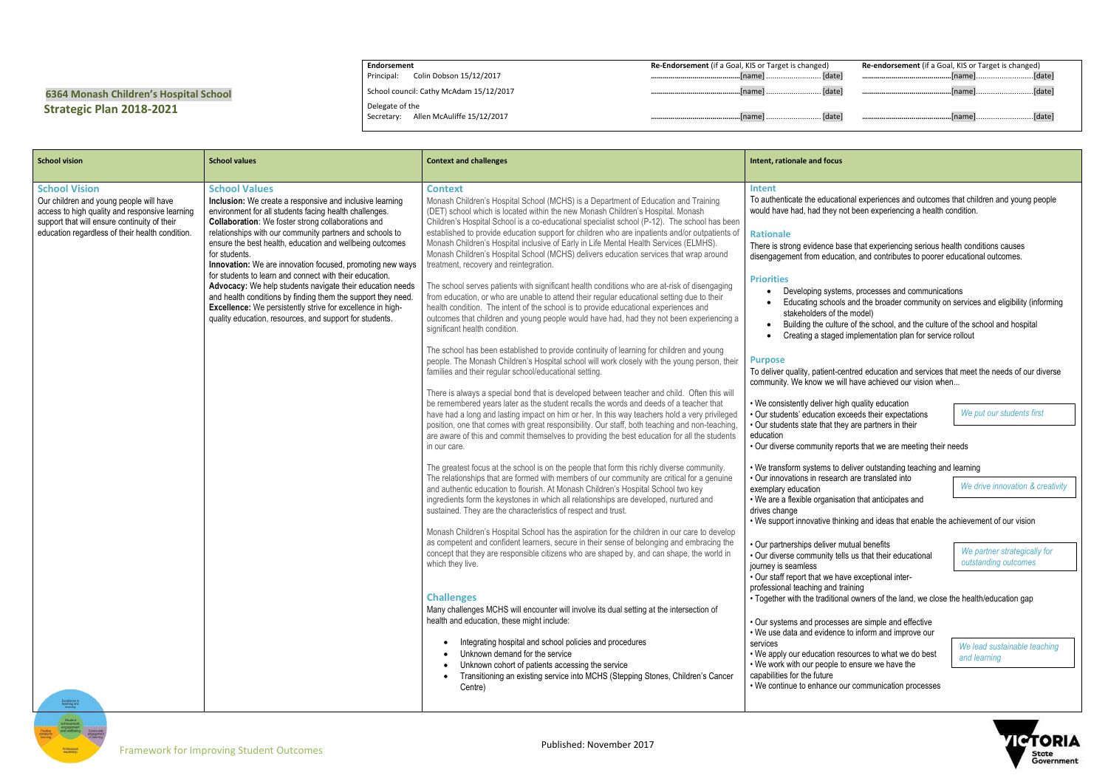## **6364 Monash Children's Hospital School Strategic Plan 2018-2021**

**Endorsement** Principal: Colin Dobson 15/12/2017 School council: Cathy McAdam 15/12/2017 Delegate of the Secretary: Allen McAuliffe 15/12/2017 **Re-Endorsement** (if a Goal, KIS or Target is changed) **………………………………………**[name] .......................... [date] **………………………………………**[name] .......................... [date] **………………………………………**[name] .......................... [date]

|    | <b>Re-endorsement</b> (if a Goal, KIS or Target is changed) |  |
|----|-------------------------------------------------------------|--|
| el |                                                             |  |
| e1 |                                                             |  |
| el |                                                             |  |

cational experiences and outcomes that children and young people ey not been experiencing a health condition.

base that experiencing serious health conditions causes ication, and contributes to poorer educational outcomes.

stems, processes and communications

- ools and the broader community on services and eligibility (informing f the model)
- Iture of the school, and the culture of the school and hospital
- ged implementation plan for service rollout

t-centred education and services that meet the needs of our diverse will have achieved our vision when...

high quality education n exceeds their expectations they are partners in their

to deliver outstanding teaching and learning earch are translated into *We drive innovation & creativity*

isation that anticipates and

thinking and ideas that enable the achievement of our vision

er mutual benefits tells us that their educational

have exceptional inter-

d training

ional owners of the land, we close the health/education gap

esses are simple and effective nce to inform and improve our

resources to what we do best le to ensure we have the

e our communication processes

| <b>School vision</b>                                                                                                                                                                                                                  | <b>School values</b>                                                                                                                                                                                                                                                                                                                                                                                                                                                                                                                                                                                                                                                                                                           | <b>Context and challenges</b>                                                                                                                                                                                                                                                                                                                                                                                                                                                                                                                                                                                                                                                                                                                                                                                                                                                                                                                                                                                                                                                                                                                                                                                                                                                                                                                                                                                                                                                                                                                                                                                                                                                                                                                                                                                                                                                                                                                                                                                                                                                                                                                                                                                                                                                                                                                                                                                                                                                                                                                                                                                                                                                                                                                                                                                                                                                                                                                                                     | Intent, rationale and focus                                                                                                                                                                                                                                                                                                                                                                                                                                                                                                                                                                                                                                                                                                                                                                                                                                                                                                                                                                                                                                                   |
|---------------------------------------------------------------------------------------------------------------------------------------------------------------------------------------------------------------------------------------|--------------------------------------------------------------------------------------------------------------------------------------------------------------------------------------------------------------------------------------------------------------------------------------------------------------------------------------------------------------------------------------------------------------------------------------------------------------------------------------------------------------------------------------------------------------------------------------------------------------------------------------------------------------------------------------------------------------------------------|-----------------------------------------------------------------------------------------------------------------------------------------------------------------------------------------------------------------------------------------------------------------------------------------------------------------------------------------------------------------------------------------------------------------------------------------------------------------------------------------------------------------------------------------------------------------------------------------------------------------------------------------------------------------------------------------------------------------------------------------------------------------------------------------------------------------------------------------------------------------------------------------------------------------------------------------------------------------------------------------------------------------------------------------------------------------------------------------------------------------------------------------------------------------------------------------------------------------------------------------------------------------------------------------------------------------------------------------------------------------------------------------------------------------------------------------------------------------------------------------------------------------------------------------------------------------------------------------------------------------------------------------------------------------------------------------------------------------------------------------------------------------------------------------------------------------------------------------------------------------------------------------------------------------------------------------------------------------------------------------------------------------------------------------------------------------------------------------------------------------------------------------------------------------------------------------------------------------------------------------------------------------------------------------------------------------------------------------------------------------------------------------------------------------------------------------------------------------------------------------------------------------------------------------------------------------------------------------------------------------------------------------------------------------------------------------------------------------------------------------------------------------------------------------------------------------------------------------------------------------------------------------------------------------------------------------------------------------------------------|-------------------------------------------------------------------------------------------------------------------------------------------------------------------------------------------------------------------------------------------------------------------------------------------------------------------------------------------------------------------------------------------------------------------------------------------------------------------------------------------------------------------------------------------------------------------------------------------------------------------------------------------------------------------------------------------------------------------------------------------------------------------------------------------------------------------------------------------------------------------------------------------------------------------------------------------------------------------------------------------------------------------------------------------------------------------------------|
| <b>School Vision</b><br>Our children and young people will have<br>access to high quality and responsive learning<br>support that will ensure continuity of their<br>education regardless of their health condition.<br>Excellence in | <b>School Values</b><br>Inclusion: We create a responsive and inclusive learning<br>environment for all students facing health challenges.<br><b>Collaboration:</b> We foster strong collaborations and<br>relationships with our community partners and schools to<br>ensure the best health, education and wellbeing outcomes<br>for students.<br>Innovation: We are innovation focused, promoting new ways<br>for students to learn and connect with their education.<br>Advocacy: We help students navigate their education needs<br>and health conditions by finding them the support they need.<br>Excellence: We persistently strive for excellence in high-<br>quality education, resources, and support for students. | <b>Context</b><br>Monash Children's Hospital School (MCHS) is a Department of Education and Training<br>(DET) school which is located within the new Monash Children's Hospital. Monash<br>Children's Hospital School is a co-educational specialist school (P-12). The school has been<br>established to provide education support for children who are inpatients and/or outpatients of<br>Monash Children's Hospital inclusive of Early in Life Mental Health Services (ELMHS).<br>Monash Children's Hospital School (MCHS) delivers education services that wrap around<br>treatment, recovery and reintegration.<br>The school serves patients with significant health conditions who are at-risk of disengaging<br>from education, or who are unable to attend their regular educational setting due to their<br>health condition. The intent of the school is to provide educational experiences and<br>outcomes that children and young people would have had, had they not been experiencing a<br>significant health condition.<br>The school has been established to provide continuity of learning for children and young<br>people. The Monash Children's Hospital school will work closely with the young person, their<br>families and their regular school/educational setting.<br>There is always a special bond that is developed between teacher and child. Often this will<br>be remembered years later as the student recalls the words and deeds of a teacher that<br>have had a long and lasting impact on him or her. In this way teachers hold a very privileged<br>position, one that comes with great responsibility. Our staff, both teaching and non-teaching,<br>are aware of this and commit themselves to providing the best education for all the students<br>in our care.<br>The greatest focus at the school is on the people that form this richly diverse community.<br>The relationships that are formed with members of our community are critical for a genuine<br>and authentic education to flourish. At Monash Children's Hospital School two key<br>ingredients form the keystones in which all relationships are developed, nurtured and<br>sustained. They are the characteristics of respect and trust.<br>Monash Children's Hospital School has the aspiration for the children in our care to develop<br>as competent and confident learners, secure in their sense of belonging and embracing the<br>concept that they are responsible citizens who are shaped by, and can shape, the world in<br>which they live.<br><b>Challenges</b><br>Many challenges MCHS will encounter will involve its dual setting at the intersection of<br>health and education, these might include:<br>Integrating hospital and school policies and procedures<br>Unknown demand for the service<br>Unknown cohort of patients accessing the service<br>Transitioning an existing service into MCHS (Stepping Stones, Children's Cancer<br>Centre) | <b>Intent</b><br>To authenticate the educati<br>would have had, had they r<br><b>Rationale</b><br>There is strong evidence ba<br>disengagement from educa<br><b>Priorities</b><br>Developing syste<br>Educating school<br>stakeholders of th<br>Building the cultu<br>Creating a staged<br><b>Purpose</b><br>To deliver quality, patient-c<br>community. We know we w<br>• We consistently deliver his<br>· Our students' education e<br>• Our students state that the<br>education<br>• Our diverse community re<br>• We transform systems to<br>· Our innovations in researd<br>exemplary education<br>• We are a flexible organisa<br>drives change<br>• We support innovative thir<br>• Our partnerships deliver n<br>• Our diverse community te<br>journey is seamless<br>• Our staff report that we ha<br>professional teaching and t<br>• Together with the tradition<br>• Our systems and process<br>• We use data and evidenc<br>services<br>• We apply our education re<br>• We work with our people t<br>capabilities for the future<br>• We continue to enhance o |

*We lead sustainable teaching and learning*



*We partner strategically for outstanding outcomes*

*We put our students first*

reports that we are meeting their needs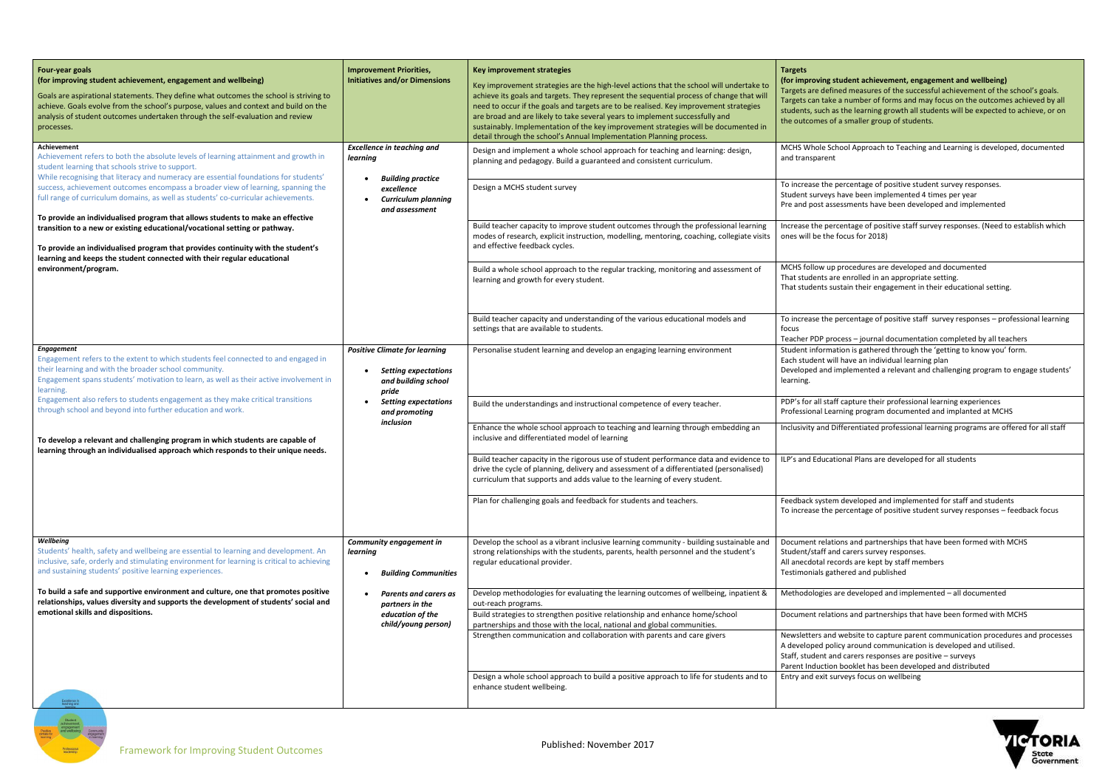## **(for improving student achievement, engagement and wellbeing)**

Ined measures of the successful achievement of the school's goals.  $\mathbf e$  a number of forms and may focus on the outcomes achieved by all s the learning growth all students will be expected to achieve, or on a smaller group of students.

chool Approach to Teaching and Learning is developed, documented

percentage of positive student survey responses. s have been implemented 4 times per year sessments have been developed and implemented

rcentage of positive staff survey responses. (Need to establish which focus for 2018)

p procedures are developed and documented Intertate onrolled in an appropriate setting. ustain their engagement in their educational setting.

percentage of positive staff survey responses – professional learning

ocess – journal documentation completed by all teachers ation is gathered through the 'getting to know you' form.

ill have an individual learning plan

implemented a relevant and challenging program to engage students'

ff capture their professional learning experiences arning program documented and implanted at MCHS

Differentiated professional learning programs are offered for all staff

tional Plans are developed for all students

m developed and implemented for staff and students percentage of positive student survey responses – feedback focus

ions and partnerships that have been formed with MCHS nd carers survey responses. ecords are kept by staff members thered and published

are developed and implemented  $-$  all documented

ions and partnerships that have been formed with MCHS

I website to capture parent communication procedures and processes licy around communication is developed and utilised. nd carers responses are positive – surveys n booklet has been developed and distributed

urveys focus on wellbeing



| <b>Four-year goals</b><br>(for improving student achievement, engagement and wellbeing)<br>Goals are aspirational statements. They define what outcomes the school is striving to<br>achieve. Goals evolve from the school's purpose, values and context and build on the<br>analysis of student outcomes undertaken through the self-evaluation and review<br>processes.                                                                                                                                                                                                                                                                                                                                                                                                       | <b>Improvement Priorities,</b><br><b>Initiatives and/or Dimensions</b>                                                                               | Key improvement strategies<br>Key improvement strategies are the high-level actions that the school will undertake to<br>achieve its goals and targets. They represent the sequential process of change that will<br>need to occur if the goals and targets are to be realised. Key improvement strategies<br>are broad and are likely to take several years to implement successfully and<br>sustainably. Implementation of the key improvement strategies will be documented in<br>detail through the school's Annual Implementation Planning process. | <b>Targets</b><br>(for improving s<br>Targets are defir<br>Targets can take<br>students, such a<br>the outcomes of                                                                            |
|---------------------------------------------------------------------------------------------------------------------------------------------------------------------------------------------------------------------------------------------------------------------------------------------------------------------------------------------------------------------------------------------------------------------------------------------------------------------------------------------------------------------------------------------------------------------------------------------------------------------------------------------------------------------------------------------------------------------------------------------------------------------------------|------------------------------------------------------------------------------------------------------------------------------------------------------|----------------------------------------------------------------------------------------------------------------------------------------------------------------------------------------------------------------------------------------------------------------------------------------------------------------------------------------------------------------------------------------------------------------------------------------------------------------------------------------------------------------------------------------------------------|-----------------------------------------------------------------------------------------------------------------------------------------------------------------------------------------------|
| Achievement<br>Achievement refers to both the absolute levels of learning attainment and growth in<br>student learning that schools strive to support.<br>While recognising that literacy and numeracy are essential foundations for students'<br>success, achievement outcomes encompass a broader view of learning, spanning the<br>full range of curriculum domains, as well as students' co-curricular achievements.<br>To provide an individualised program that allows students to make an effective<br>transition to a new or existing educational/vocational setting or pathway.<br>To provide an individualised program that provides continuity with the student's<br>learning and keeps the student connected with their regular educational<br>environment/program. | <b>Excellence in teaching and</b><br>learning<br><b>Building practice</b><br>excellence<br><b>Curriculum planning</b><br>$\bullet$<br>and assessment | Design and implement a whole school approach for teaching and learning: design,<br>planning and pedagogy. Build a guaranteed and consistent curriculum.<br>Design a MCHS student survey<br>Build teacher capacity to improve student outcomes through the professional learning<br>modes of research, explicit instruction, modelling, mentoring, coaching, collegiate visits<br>and effective feedback cycles.<br>Build a whole school approach to the regular tracking, monitoring and assessment of<br>learning and growth for every student.         | MCHS Whole Scl<br>and transparent<br>To increase the<br>Student surveys<br>Pre and post ass<br>Increase the per<br>ones will be the<br>MCHS follow up<br>That students ar<br>That students su |
|                                                                                                                                                                                                                                                                                                                                                                                                                                                                                                                                                                                                                                                                                                                                                                                 |                                                                                                                                                      | Build teacher capacity and understanding of the various educational models and<br>settings that are available to students.                                                                                                                                                                                                                                                                                                                                                                                                                               | To increase the<br>focus<br>Teacher PDP pro                                                                                                                                                   |
| <b>Engagement</b><br>Engagement refers to the extent to which students feel connected to and engaged in<br>their learning and with the broader school community.<br>Engagement spans students' motivation to learn, as well as their active involvement in<br>learning.<br>Engagement also refers to students engagement as they make critical transitions                                                                                                                                                                                                                                                                                                                                                                                                                      | <b>Positive Climate for learning</b><br><b>Setting expectations</b><br>and building school<br>pride                                                  | Personalise student learning and develop an engaging learning environment                                                                                                                                                                                                                                                                                                                                                                                                                                                                                | Student informa<br>Each student wil<br>Developed and i<br>learning.<br>PDP's for all staf                                                                                                     |
| through school and beyond into further education and work.<br>To develop a relevant and challenging program in which students are capable of                                                                                                                                                                                                                                                                                                                                                                                                                                                                                                                                                                                                                                    | <b>Setting expectations</b><br>and promoting<br>inclusion                                                                                            | Build the understandings and instructional competence of every teacher.<br>Enhance the whole school approach to teaching and learning through embedding an<br>inclusive and differentiated model of learning                                                                                                                                                                                                                                                                                                                                             | Professional Lea<br>Inclusivity and D                                                                                                                                                         |
| learning through an individualised approach which responds to their unique needs.                                                                                                                                                                                                                                                                                                                                                                                                                                                                                                                                                                                                                                                                                               |                                                                                                                                                      | Build teacher capacity in the rigorous use of student performance data and evidence to<br>drive the cycle of planning, delivery and assessment of a differentiated (personalised)<br>curriculum that supports and adds value to the learning of every student.                                                                                                                                                                                                                                                                                           | ILP's and Educat                                                                                                                                                                              |
|                                                                                                                                                                                                                                                                                                                                                                                                                                                                                                                                                                                                                                                                                                                                                                                 |                                                                                                                                                      | Plan for challenging goals and feedback for students and teachers.                                                                                                                                                                                                                                                                                                                                                                                                                                                                                       | Feedback systen<br>To increase the                                                                                                                                                            |
| Wellbeing<br>Students' health, safety and wellbeing are essential to learning and development. An<br>inclusive, safe, orderly and stimulating environment for learning is critical to achieving<br>and sustaining students' positive learning experiences.                                                                                                                                                                                                                                                                                                                                                                                                                                                                                                                      | Community engagement in<br>learning<br><b>Building Communities</b><br>٠                                                                              | Develop the school as a vibrant inclusive learning community - building sustainable and<br>strong relationships with the students, parents, health personnel and the student's<br>regular educational provider.                                                                                                                                                                                                                                                                                                                                          | Document relati<br>Student/staff an<br>All anecdotal red<br>Testimonials gat                                                                                                                  |
| To build a safe and supportive environment and culture, one that promotes positive<br>relationships, values diversity and supports the development of students' social and<br>emotional skills and dispositions.                                                                                                                                                                                                                                                                                                                                                                                                                                                                                                                                                                | <b>Parents and carers as</b><br>partners in the<br>education of the<br>child/young person)                                                           | Develop methodologies for evaluating the learning outcomes of wellbeing, inpatient &<br>out-reach programs.<br>Build strategies to strengthen positive relationship and enhance home/school<br>partnerships and those with the local, national and global communities.<br>Strengthen communication and collaboration with parents and care givers                                                                                                                                                                                                        | Methodologies a<br>Document relati<br>Newsletters and<br>A developed pol<br>Staff, student an<br>Parent Induction                                                                             |
|                                                                                                                                                                                                                                                                                                                                                                                                                                                                                                                                                                                                                                                                                                                                                                                 |                                                                                                                                                      | Design a whole school approach to build a positive approach to life for students and to<br>enhance student wellbeing.                                                                                                                                                                                                                                                                                                                                                                                                                                    | Entry and exit su                                                                                                                                                                             |